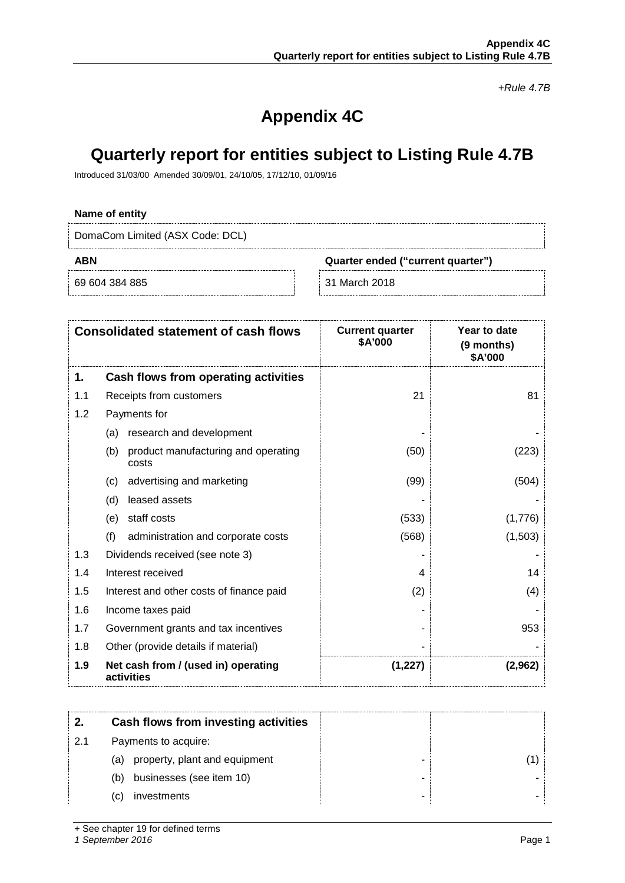*+Rule 4.7B*

# **Appendix 4C**

# **Quarterly report for entities subject to Listing Rule 4.7B**

Introduced 31/03/00 Amended 30/09/01, 24/10/05, 17/12/10, 01/09/16

### **Name of entity**

DomaCom Limited (ASX Code: DCL)

69 604 384 885 31 March 2018

**ABN Quarter ended ("current quarter")**

|     | <b>Consolidated statement of cash flows</b>         | <b>Current quarter</b><br>\$A'000 | Year to date<br>(9 months)<br>\$A'000 |
|-----|-----------------------------------------------------|-----------------------------------|---------------------------------------|
| 1.  | Cash flows from operating activities                |                                   |                                       |
| 1.1 | Receipts from customers                             | 21                                | 81                                    |
| 1.2 | Payments for                                        |                                   |                                       |
|     | research and development<br>(a)                     |                                   |                                       |
|     | (b)<br>product manufacturing and operating<br>costs | (50)                              | (223)                                 |
|     | advertising and marketing<br>(c)                    | (99)                              | (504)                                 |
|     | leased assets<br>(d)                                |                                   |                                       |
|     | staff costs<br>(e)                                  | (533)                             | (1,776)                               |
|     | (f)<br>administration and corporate costs           | (568)                             | (1,503)                               |
| 1.3 | Dividends received (see note 3)                     |                                   |                                       |
| 1.4 | Interest received                                   | 4                                 | 14                                    |
| 1.5 | Interest and other costs of finance paid            | (2)                               | (4)                                   |
| 1.6 | Income taxes paid                                   |                                   |                                       |
| 1.7 | Government grants and tax incentives                |                                   | 953                                   |
| 1.8 | Other (provide details if material)                 |                                   |                                       |
| 1.9 | Net cash from / (used in) operating<br>activities   | (1,227)                           | (2,962)                               |

|    | Cash flows from investing activities |  |
|----|--------------------------------------|--|
| 21 | Payments to acquire:                 |  |
|    | property, plant and equipment<br>(a) |  |
|    | businesses (see item 10)<br>(b)      |  |
|    | investments<br>(C)                   |  |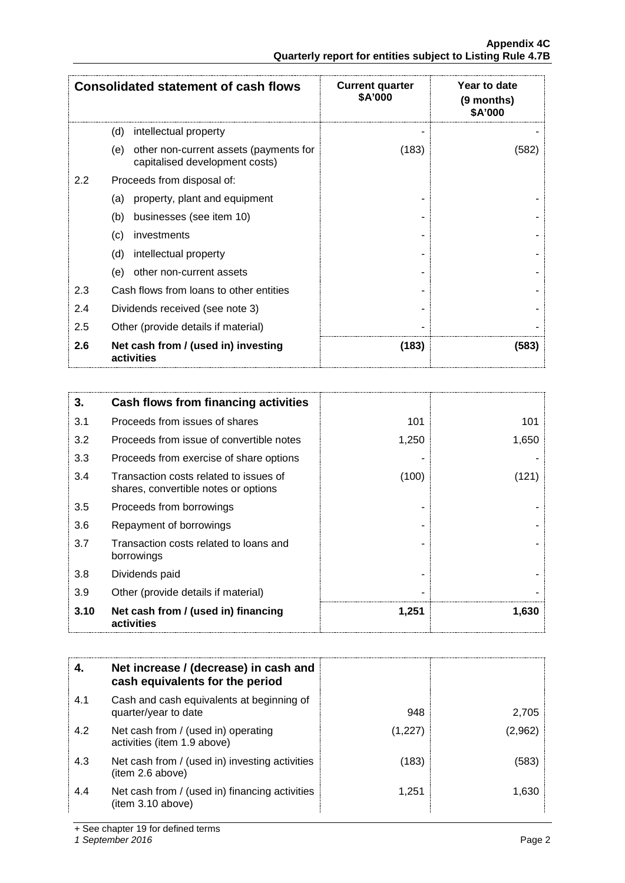|                  | <b>Consolidated statement of cash flows</b>                                     | <b>Current quarter</b><br>\$A'000 | Year to date<br>(9 months)<br>\$A'000 |
|------------------|---------------------------------------------------------------------------------|-----------------------------------|---------------------------------------|
|                  | (d)<br>intellectual property                                                    |                                   |                                       |
|                  | other non-current assets (payments for<br>(e)<br>capitalised development costs) | (183)                             | (582)                                 |
| $2.2\phantom{0}$ | Proceeds from disposal of:                                                      |                                   |                                       |
|                  | property, plant and equipment<br>(a)                                            |                                   |                                       |
|                  | businesses (see item 10)<br>(b)                                                 |                                   |                                       |
|                  | investments<br>(c)                                                              |                                   |                                       |
|                  | (d)<br>intellectual property                                                    |                                   |                                       |
|                  | other non-current assets<br>(e)                                                 |                                   |                                       |
| 2.3              | Cash flows from loans to other entities                                         |                                   |                                       |
| 2.4              | Dividends received (see note 3)                                                 |                                   |                                       |
| 2.5              | Other (provide details if material)                                             |                                   |                                       |
| 2.6              | Net cash from / (used in) investing<br>activities                               | (183)                             | (583)                                 |

| 3.   | Cash flows from financing activities                                           |       |       |
|------|--------------------------------------------------------------------------------|-------|-------|
| 3.1  | Proceeds from issues of shares                                                 | 101   | 101   |
| 3.2  | Proceeds from issue of convertible notes                                       | 1,250 | 1,650 |
| 3.3  | Proceeds from exercise of share options                                        |       |       |
| 3.4  | Transaction costs related to issues of<br>shares, convertible notes or options | (100) | (121) |
| 3.5  | Proceeds from borrowings                                                       |       |       |
| 3.6  | Repayment of borrowings                                                        |       |       |
| 3.7  | Transaction costs related to loans and<br>borrowings                           |       |       |
| 3.8  | Dividends paid                                                                 |       |       |
| 3.9  | Other (provide details if material)                                            |       |       |
| 3.10 | Net cash from / (used in) financing<br>activities                              | 1,251 | 1,630 |

|     | Net increase / (decrease) in cash and<br>cash equivalents for the period |         |         |
|-----|--------------------------------------------------------------------------|---------|---------|
| 4.1 | Cash and cash equivalents at beginning of<br>quarter/year to date        | 948     | 2.705   |
| 4.2 | Net cash from / (used in) operating<br>activities (item 1.9 above)       | (1,227) | (2,962) |
| 4.3 | Net cash from / (used in) investing activities<br>(item 2.6 above)       | (183)   | (583)   |
| 4.4 | Net cash from / (used in) financing activities<br>(item 3.10 above)      | 1.251   | 1.630   |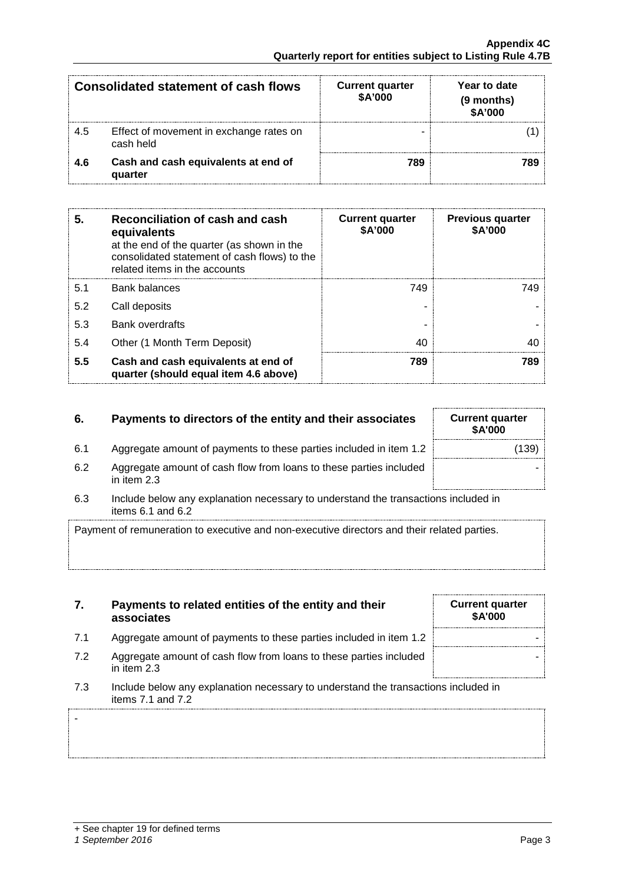-

| Consolidated statement of cash flows |                                                      | <b>Current quarter</b><br>\$A'000 | Year to date<br>(9 months)<br><b>\$A'000</b> |
|--------------------------------------|------------------------------------------------------|-----------------------------------|----------------------------------------------|
| 4.5                                  | Effect of movement in exchange rates on<br>cash held |                                   |                                              |
| 4.6                                  | Cash and cash equivalents at end of<br>quarter       | 789                               |                                              |

| 5.  | Reconciliation of cash and cash<br>equivalents<br>at the end of the quarter (as shown in the<br>consolidated statement of cash flows) to the<br>related items in the accounts | <b>Current quarter</b><br>\$A'000 | <b>Previous quarter</b><br>\$A'000 |
|-----|-------------------------------------------------------------------------------------------------------------------------------------------------------------------------------|-----------------------------------|------------------------------------|
| 5.1 | <b>Bank balances</b>                                                                                                                                                          | 749                               | 749                                |
| 5.2 | Call deposits                                                                                                                                                                 |                                   |                                    |
| 5.3 | <b>Bank overdrafts</b>                                                                                                                                                        |                                   |                                    |
| 5.4 | Other (1 Month Term Deposit)                                                                                                                                                  | 4በ                                |                                    |
| 5.5 | Cash and cash equivalents at end of<br>quarter (should equal item 4.6 above)                                                                                                  | 789                               |                                    |

# **6.** Payments to directors of the entity and their associates

- 6.1 Aggregate amount of payments to these parties included in item 1.2
- 6.2 Aggregate amount of cash flow from loans to these parties included in item 2.3
- 6.3 Include below any explanation necessary to understand the transactions included in items 6.1 and 6.2

Payment of remuneration to executive and non-executive directors and their related parties.

- **7. Payments to related entities of the entity and their associates**
- 7.1 Aggregate amount of payments to these parties included in item 1.2
- 7.2 Aggregate amount of cash flow from loans to these parties included in item 2.3
- 7.3 Include below any explanation necessary to understand the transactions included in items 7.1 and 7.2

| <b>Current quarter</b><br>\$A'000 |  |
|-----------------------------------|--|
|                                   |  |
|                                   |  |
|                                   |  |

| <b>Current quarter</b><br>\$A'000 |       |
|-----------------------------------|-------|
|                                   | (139) |
|                                   |       |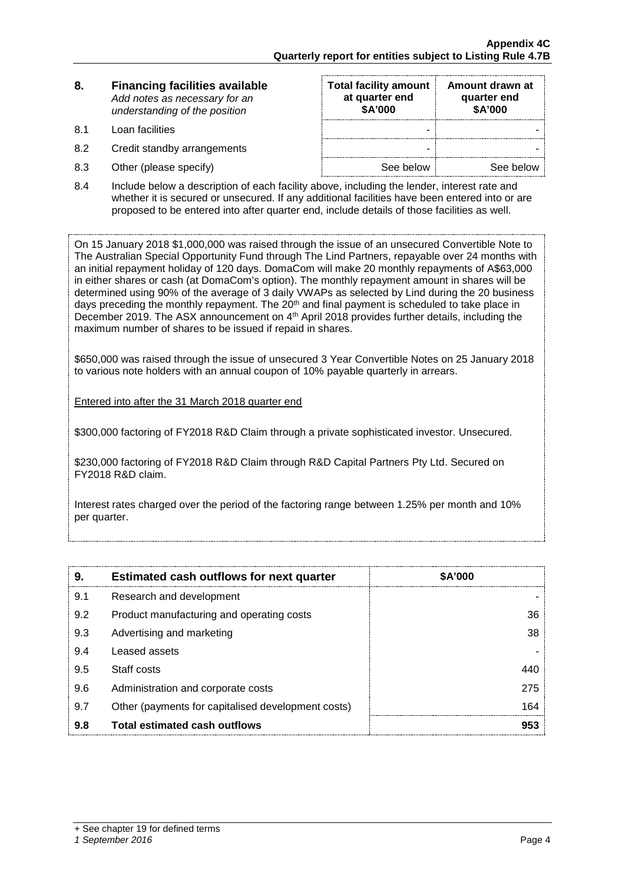| 8. | <b>Financing facilities available</b> |
|----|---------------------------------------|
|    | Add notes as necessary for an         |
|    | understanding of the position         |

- 
- 8.2 Credit standby arrangements
- 8.3 Other (please specify)

| 8.  | <b>Financing facilities available</b><br>Add notes as necessary for an<br>understanding of the position | <b>Total facility amount</b><br>at quarter end<br>\$A'000 | Amount drawn at<br>quarter end<br>\$A'000 |
|-----|---------------------------------------------------------------------------------------------------------|-----------------------------------------------------------|-------------------------------------------|
| 8.1 | Loan facilities                                                                                         |                                                           |                                           |
| 8.2 | Credit standby arrangements                                                                             | -                                                         |                                           |
| 8.3 | Other (please specify)                                                                                  | See below                                                 | See below                                 |

8.4 Include below a description of each facility above, including the lender, interest rate and whether it is secured or unsecured. If any additional facilities have been entered into or are proposed to be entered into after quarter end, include details of those facilities as well.

On 15 January 2018 \$1,000,000 was raised through the issue of an unsecured Convertible Note to The Australian Special Opportunity Fund through The Lind Partners, repayable over 24 months with an initial repayment holiday of 120 days. DomaCom will make 20 monthly repayments of A\$63,000 in either shares or cash (at DomaCom's option). The monthly repayment amount in shares will be determined using 90% of the average of 3 daily VWAPs as selected by Lind during the 20 business days preceding the monthly repayment. The  $20<sup>th</sup>$  and final payment is scheduled to take place in December 2019. The ASX announcement on 4<sup>th</sup> April 2018 provides further details, including the maximum number of shares to be issued if repaid in shares.

\$650,000 was raised through the issue of unsecured 3 Year Convertible Notes on 25 January 2018 to various note holders with an annual coupon of 10% payable quarterly in arrears.

Entered into after the 31 March 2018 quarter end

\$300,000 factoring of FY2018 R&D Claim through a private sophisticated investor. Unsecured.

\$230,000 factoring of FY2018 R&D Claim through R&D Capital Partners Pty Ltd. Secured on FY2018 R&D claim.

Interest rates charged over the period of the factoring range between 1.25% per month and 10% per quarter.

| 9.  | <b>Estimated cash outflows for next quarter</b>    | <b>SA'000</b> |
|-----|----------------------------------------------------|---------------|
| 9.1 | Research and development                           |               |
| 9.2 | Product manufacturing and operating costs          | 36            |
| 9.3 | Advertising and marketing                          | 38            |
| 9.4 | Leased assets                                      |               |
| 9.5 | Staff costs                                        |               |
| 9.6 | Administration and corporate costs                 | 275           |
| 9.7 | Other (payments for capitalised development costs) | 164           |
| 9.8 | <b>Total estimated cash outflows</b>               | 953           |